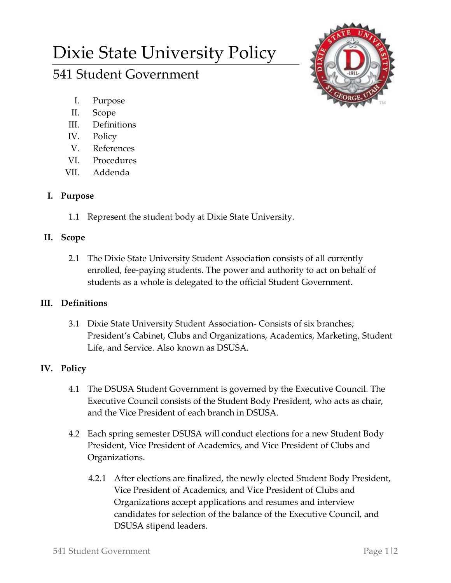# Dixie State University Policy

# 541 Student Government



- I. Purpose
- II. Scope
- III. Definitions
- IV. Policy
- V. References
- VI. Procedures
- VII. Addenda

## **I. Purpose**

1.1 Represent the student body at Dixie State University.

### **II. Scope**

2.1 The Dixie State University Student Association consists of all currently enrolled, fee-paying students. The power and authority to act on behalf of students as a whole is delegated to the official Student Government.

### **III. Definitions**

3.1 Dixie State University Student Association- Consists of six branches; President's Cabinet, Clubs and Organizations, Academics, Marketing, Student Life, and Service. Also known as DSUSA.

# **IV. Policy**

- 4.1 The DSUSA Student Government is governed by the Executive Council. The Executive Council consists of the Student Body President, who acts as chair, and the Vice President of each branch in DSUSA.
- 4.2 Each spring semester DSUSA will conduct elections for a new Student Body President, Vice President of Academics, and Vice President of Clubs and Organizations.
	- 4.2.1 After elections are finalized, the newly elected Student Body President, Vice President of Academics, and Vice President of Clubs and Organizations accept applications and resumes and interview candidates for selection of the balance of the Executive Council, and DSUSA stipend leaders.